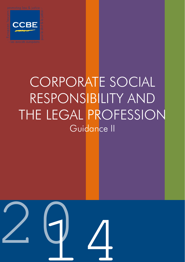

# CORPORATE SOCIAL RESPONSIBILITY AND THE LEGAL PROFESSION Guidance II

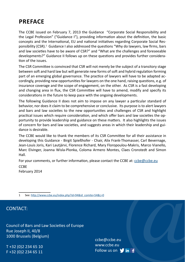# **PREFACE**

The CCBE issued on February 7, 2013 the Guidance "Corporate Social Responsibility and the Legal Profession" ("Guidance I"), providing information about the definition, the basic concepts and the International, EU and national initiatives regarding Corporate Social Responsibility (CSR).<sup>1</sup> Guidance I also addressed the questions "Why do lawyers, law firms, bars and law societies have to be aware of CSR?" and "What are the challenges and foreseeable developments?" Guidance II follows up on these questions and provides further consideration of the issues.

The CSR Committee is convinced that CSR will not merely be the subject of a transitory stage between soft and hard law but will generate new forms of soft and hybrid regulation forming part of an emerging global governance. The practice of lawyers will have to be adapted accordingly, providing new opportunities for lawyers on the one hand, raising questions, e.g. of insurance coverage and the scope of engagement, on the other. As CSR is a fast developing and changing area in flux, the CSR Committee will have to amend, modify and specify its considerations in the future to keep pace with the ongoing developments.

The following Guidance II does not aim to impose on any lawyer a particular standard of behavior, nor does it claim to be comprehensive or conclusive. Its purpose is to alert lawyers and bars and law societies to the new opportunities and challenges of CSR and highlight practical issues which require consideration, and which offer bars and law societies the opportunity to provide leadership and guidance on these matters. It also highlights the issues of concern for bars and law societies, and suggests areas in which their leadership and guidance is desirable.

The CCBE would like to thank the members of its CSR Committee for all their assistance in developing this Guidance - Birgit Spießhofer - Chair, Alix Frank-Thomasser, Carl Bevernage, Jean-Louis Joris, Kari Lautjärvi, Florence Richard, Mary Floropoulou-Makris, Marco Vianello, Marc Elvinger, Joanna Wisla-Plonka, Coloma Armero Montes, Claes Cronstedt and Simon Hall.

For your comments, or further information, please contact the CCBE at: ccbe@ccbe.eu **CCBE** 

February 2014

### CONTACT:

Council of Bars and Law Societies of Europe Rue Joseph II, 40/8 1000 Brussels (Belgium)

T +32 (0)2 234 65 10 F +32 (0)2 234 65 11

 $\bigcap_{\mathsf{in}(\mathsf{f})} \bigcap$ ccbe@ccbe.eu www.ccbe.eu Follow us on  $\forall$  in  $\exists$ 

<sup>1</sup> See: http://www.ccbe.eu/index.php?id=94&id\_comite=54&L=0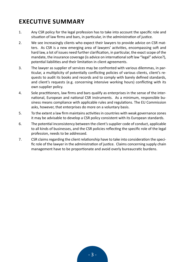# **EXECUTIVE SUMMARY**

- 1. Any CSR policy for the legal profession has to take into account the specific role and situation of law firms and bars, in particular, in the administration of justice.
- 2. We see increasingly clients who expect their lawyers to provide advice on CSR matters. As CSR is a new emerging area of lawyers' activities, encompassing soft and hard law, a lot of issues need further clarification, in particular, the exact scope of the mandate, the insurance coverage (is advice on international soft law "legal" advice?), potential liabilities and their limitation in client agreements.
- 3. The lawyer as supplier of services may be confronted with various dilemmas, in particular, a multiplicity of potentially conflicting policies of various clients, client's requests to audit its books and records and to comply with barely defined standards, and client's requests (e.g. concerning intensive working hours) conflicting with its own supplier policy.
- 4. Sole practitioners, law firms and bars qualify as enterprises in the sense of the international, European and national CSR instruments. As a minimum, responsible business means compliance with applicable rules and regulations. The EU Commission asks, however, that enterprises do more on a voluntary basis.
- 5. To the extent a law firm maintains activities in countries with weak governance zones it may be advisable to develop a CSR policy consistent with its European standards.
- 6. The potential inconsistency between the client's supplier code of conduct, applicable to all kinds of businesses, and the CSR policies reflecting the specific role of the legal profession, needs to be addressed.
- 7. CSR claims regarding the client relationship have to take into consideration the specific role of the lawyer in the administration of justice. Claims concerning supply chain management have to be proportionate and avoid overly bureaucratic burdens.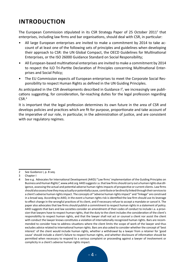# **INTRODUCTION**

The European Commission stipulated in its CSR Strategy Paper of 25 October 2011<sup>2</sup> that enterprises, including law firms and bar organisations, should deal with CSR, in particular:

- All large European enterprises are invited to make a commitment by 2014 to take account of at least one of the following sets of principles and guidelines when developing their approach to CSR: the UN Global Compact, the OECD Guidelines for Multinational Enterprises, or the ISO 26000 Guidance Standard on Social Responsibility;
- All European-based multinational enterprises are invited to make a commitment by 2014 to respect the ILO Tri-Partite Declaration of Principles concerning Multinational Enterprises and Social Policy;
- The EU Commission expects *all* European enterprises to meet the Corporate Social Responsibility to respect Human Rights as defined in the UN Guiding Principles.

As anticipated in the CSR developments described in Guidance  $I^3$ , we increasingly see publications suggesting, for consideration, far-reaching duties for the legal profession regarding  $CSR<sup>4</sup>$ 

It is important that the legal profession determines its own future in the area of CSR and develops policies and practices which are fit for purpose, proportionate and take account of the imperative of our role, in particular, in the administration of justice, and are consistent with our regulatory regimes.

<sup>2</sup> See Guidance I, p. 8 seq.

<sup>3</sup> Chapter I

<sup>4</sup> See e.g. Advocates for International Development (A4ID):"Law firms' implementation of the Guiding Principles on Business and Human Rights", www.a4id.org A4ID suggests i.a. that law firms should carry out a human rights due diligence, assessing the actual and potential adverse human rights impacts of prospective or current clients. Law firms should also assess how they may actually or potentially cause, contribute or be directly linked through their services to a client's adverse human rights impact. The concepts of "adverse human rights impact" and "linkage" are construed in a broad way. According to A4ID, in the event a human rights risk is identified the law firm should use its leverage to effect change in the wrongful practices of its client, and if necessary refuse to accept a mandate or cancel it. The paper also advocates that law firms should publish a commitment to respect human rights in a statement of policy. A4ID suggests that bars and law societies consider an amendment of their codes of conduct to include i.a. a provision that lawyers have to respect human rights, that the duty to the client includes the consideration of the client's responsibility to respect human rights, and that the lawyer shall not act or counsel a client nor assist the client with conduct the lawyer knows constitutes a violation of internationally recognized human rights. Bars are recommended to consider how to address situations where the client limits the scope of work of the lawyer and thus excludes advice related to international human rights. Bars are also asked to consider whether the concept of 'best interest' of the client would include human rights, whether a withdrawal by a lawyer from a retainer for 'good cause' should include a client's failure to respect human rights, and whether disclosure of information should be permitted when necessary to respond to a serious complaint or proceeding against a lawyer of involvement or complicity in a client's adverse human rights impact.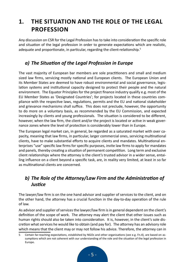# **1. THE SITUATION AND THE ROLE OF THE LEGAL PROFESSION**

Any discussion on CSR for the Legal Profession has to take into consideration the specific role and situation of the legal profession in order to generate expectations which are realistic, adequate and proportionate, in particular, regarding the client-relationship.<sup>5</sup>

# *a) The Situation of the Legal Profession in Europe*

The vast majority of European bar members are sole practitioners and small and medium sized law firms, servicing mostly national and European clients. The European Union and its Member States are deemed to have robust environmental and social governance, legislation systems and institutional capacity designed to protect their people and the natural environment. The Equator Principles for the project finance industry qualify e.g. most of the EU Member States as 'Designated Countries'; for projects located in these countries compliance with the respective laws, regulations, permits and the EU and national stakeholder and grievance mechanisms shall suffice. This does not preclude, however, the opportunity to do more on a voluntary basis, as recommended by the EU Commission, and expected increasingly by clients and young professionals. The situation is considered to be different, however, when the law firm, the client and/or the project is located or active in weak governance zones where the level of protection is considerably lower than in Europe.

The European legal market can, in general, be regarded as a saturated market with over capacity, meaning that law firms, in particular, larger commercial ones, servicing multinational clients, have to make substantial efforts to acquire clients and mandates. Multinational enterprises "use" specific law firms for specific purposes, invite law firms to apply for mandates and panels, thereby creating a situation of permanent competition. Long term and exclusive client relationships where the attorney is the client's trusted advisor in a wider sense, entailing influence on a client beyond a specific task, are, in reality very limited, at least in so far as multinational clients are concerned.

# *b) The Role of the Attorney/Law Firm and the Administration of Justice*

The lawyer/law firm is on the one hand advisor and supplier of services to the client, and on the other hand, the attorney has a crucial function in the day-to-day operation of the rule of law.

As advisor and supplier of services the lawyer/law firm is in general dependent on the client's definition of the scope of work. The attorney may alert the client that other issues such as human rights should also be taken into consideration. It is, however, in the client's sole discretion what services he would like to obtain (and pay for). The attorney has an advisory role which means that the client may or may not follow his advice. Therefore, the attorney can in

<sup>5</sup> Certain far-reaching expectations, established by NGOs and other organisations (see e.g. Fn.4), are based on assumptions which are not coherent with our understanding of the role and the situation of the legal profession in Europe.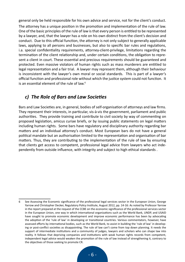general only be held responsible for his own advice and service, not for the client's conduct.

The attorney has a unique position in the promotion and implementation of the rule of law. One of the basic principles of the rule of law is that every person is entitled to be represented by a lawyer, and, that the lawyer has a role on his own distinct from the client's decision and conduct. Due to this official function, the attorney is not only subject to generally applicable laws, applying to all persons and businesses, but also to specific bar rules and regulations, i.a. special confidentiality requirements, attorney-client-privilege, limitations regarding the termination of the client relationship and, under certain conditions, the obligation to represent a client in court. These essential and precious requirements should be guaranteed and protected. Even massive violators of human rights such as mass murderers are entitled to legal representation and a fair trial. A lawyer may represent them, although their behaviour is inconsistent with the lawyer's own moral or social standards. This is part of a lawyer's official function and professional role without which the justice system could not function. It is an essential element of the rule of law.<sup>6</sup>

### *c) The Role of Bars and Law Societies*

Bars and Law Societies are, in general, bodies of self-organisation of attorneys and law firms. They represent their interests, in particular, vis-à-vis the government, parliament and public authorities. They provide training and contribute to civil society by way of commenting on proposed legislation, amicus curiae briefs, or by issuing public statements on legal matters including human rights. Some bars have regulatory and disciplinary authority regarding bar matters and an individual attorney's conduct. Most European bars do not have a general political mandate but an authorisation limited to the representation and organisation of bar matters. Thus, they are contributing to the implementation of the rule of law by ensuring that clients get access to competent, professional legal advice from lawyers who act independently from outside influence, with integrity and subject to high ethical standards .

<sup>6</sup> See Assessing the Economic significance of the professional legal services sector in the European Union, George Yarrow and Christopher Decker, Regulatory Policy Institute, August 2012, pp. 14-16: As noted by Professor Yarrow in the report prepared at the request of the CCBE on the economic significance of the professional services sector in the European Union, one way in which international organizations such as the World Bank, UNDP, and USAID have sought to promote economic development and improve economic performance has been by advocating the adoption of the 'rule of law' in developing or transitional countries. Various commentators, however, have assessed efforts by international bodies, such as the World Bank, to assist in building the 'rule of law' in developing or post-conflict societies as disappointing. The rule of law can't come from top down planning. It needs the support of intermediate institutions and a community of judges, lawyers and scholars who can shape law into reality. It follows that depriving companies and institutions with weak human rights records from competent, independent legal advice would weaken the promotion of the rule of law instead of strengthening it, contrary to the objectives of those seeking to promote CR.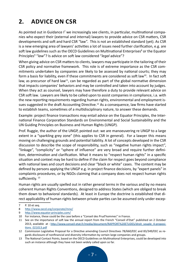# **2. ADVICE ON CSR**

As pointed out in Guidance I<sup>7</sup> we increasingly see clients, in particular, multinational companies who expect their (external and internal) lawyers to provide advice on CSR matters, CSR developments and soft and hard CSR "law". This is not an established standard (yet). As CSR is a new emerging area of lawyers' activities a lot of issues need further clarification, e.g. are soft law guidelines such as the OECD Guidelines on Multinational Enterprises<sup>8</sup> or the Equator Principles<sup>9</sup> "*law*"? Is advice on soft law considered "*legal* advice"?

When giving advice on CSR matters to clients, lawyers may participate in the tailoring of their CSR policy and normative framework. This role is of extreme importance as the CSR commitments undertaken by companies are likely to be assessed by national courts; they may form a basis for liability, even if these commitments are considered as soft law<sup>10</sup>. In fact soft law, as precursor of hard law<sup>11</sup>, can be regarded as part of the global normative dimension that impacts companies' behaviors and may be controlled and taken into account by judges. When they act as counsel, lawyers may have therefore a duty to provide relevant advice on CSR soft law. Lawyers are likely to be called upon to assist companies in compliance, i.a. with the new reporting requirements regarding human rights, environmental and employment issues suggested in the draft Accounting Directive.<sup>12</sup> As a consequence, law firms have started to establish teams, sometimes of a multidisciplinary nature, to answer these demands.

Example: project finance transactions may entail advice on the Equator Principles, the International Finance Corporation Standards on Environmental and Social Sustainability and the UN Guiding Principles on Business and Human Rights (UNGP).

Prof. Ruggie, the author of the UNGP, pointed out: we are manoeuvering re UNGP to a large extent in a "sparkling grey zone" (this applies to CSR in general). For a lawyer this means moving on challenging grounds and potential liability. A lot of concepts developed in the CSR discussion to describe the scope of responsibility, such as "negative human rights impact", "linkage", "complicity" or "sphere of influence" are very broad and require further definition, determination and clarification. What it means to "respect human rights" in a specific situation and context may be hard to define if the claim for respect goes beyond compliance with national laws and court decisions and clear "black or white" cases. The content may be defined by persons applying the UNGP e.g. in project finance decisions, by "expert panels" in complaints procedures, or by NGOs claiming that a company does not respect human rights sufficiently.<sup>13</sup>

Human rights are usually spelled out in rather general terms in the various and by no means coherent Human Rights Conventions, designed to address States (which are obliged to break them down to behavioral standards). At least in Europe the doctrine is established that direct applicability of human rights between private parties can be assumed only under excep-

<sup>7</sup> P. 10 et seq.

<sup>8</sup> http://www.oecd.org/corporate/mne/

<sup>9</sup> http://www.equator-principles.com/

<sup>10</sup> For instance, these could be the case before a "Conseil des Prud'hommes" in France.

<sup>11</sup> See on the importance of soft law the annual report from the French "Conseil d'Etat" published on 2 October 2013, available at : http://www.conseil-etat.fr/media/document/RAPPORT%20ETUDES/droit\_souple\_4-propositions\_021013.pdf

<sup>12</sup> Commission Legislative Proposal for a Directive amending Council Directives 78/660/EEC and 83/349/EEC as regards disclosure of nonfinancial and diversity information by certain large companies and groups.

<sup>13</sup> The National Contact Points, based on the OECD Guidelines on Multinational Enterprises, could be developed into such an instance although they have not been widely called upon so far.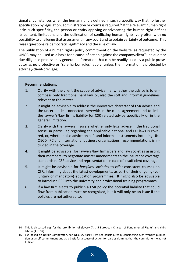tional circumstances when the human right is defined in such a specific way that no further specification by legislation, administration or courts is required.<sup>14</sup> If the relevant human right lacks such specificity, the person or entity applying or advocating the human right defines its content, limitations and the delineation of conflicting human rights, very often with no possibility to challenge that assessment in any court and to obtain certainty of outcome. This raises questions re democratic legitimacy and the rule of law.

The publication of a human rights policy commitment on the website, as requested by the UNGP, may be used as a basis for a cause of action against the company/client<sup>15</sup>; an audit or due diligence process may generate information that can be readily used by a public prosecutor as no protective or "safe harbor rules" apply (unless the information is protected by attorney-client-privilege).

#### **Recommendations:**

- 1. Clarify with the client the scope of advice, i.e. whether the advice is to encompass only traditional hard law, or, also the soft and informal guidelines relevant to the matter.
- 2. It might be advisable to address the innovative character of CSR advice and the uncertainties connected therewith in the client agreement and to limit the lawyer's/law firm's liability for CSR related advice specifically or in the general limitation.
- 3. Clarify with the lawyers insurers whether only legal advice in the traditional sense, in particular, regarding the applicable national and EU laws is covered, or, whether also advice on soft and informal instruments including UN, OECD, IFC and international business organisations' recommendations is included in the coverage.
- 4. It might be advisable (for lawyers/law firms/bars and law societies assisting their members) to negotiate master amendments to the insurance coverage standards re CSR advice and representation in case of insufficient coverage.
- 5. It might be advisable for *bars/law societies* to offer consistent courses on CSR, informing about the latest developments, as part of their ongoing (voluntary or mandatory) education programmes. It might also be advisable to introduce CSR into the university and professional training programmes.
- 6. If a law firm elects to publish a CSR policy the potential liability that could flow from publication must be recognized, but it will only be an issue if the policies are not adhered to.

<sup>14</sup> This is discussed e.g. for the prohibition of slavery (Art. 5 European Charter of Fundamental Rights) and child labour (Art. 32).

<sup>15</sup> E.g. based on Unfair Competition, see Nike vs. Kasky ; we see courts already considering such website publication as a self-commitment and as a basis for a cause of action for parties claiming that the commitment was not fulfilled.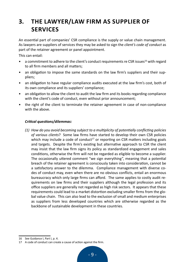# **3. THE LAWYER/LAW FIRM AS SUPPLIER OF SERVICES**

An essential part of companies' CSR compliance is the supply or value chain management. As lawyers are suppliers of services they may be asked to sign the *client's code of conduct* as part of the retainer agreement or panel appointment.

This can entail:

- a commitment to adhere to the client's conduct requirements re CSR issues<sup>16</sup> with regard to all firm members and all matters;
- an obligation to impose the same standards on the law firm's suppliers and their suppliers;
- an obligation to have regular compliance audits executed at the law firm's cost, both of its own compliance and its suppliers' compliance;
- an obligation to allow the client to audit the law firm and its books regarding compliance with the client's code of conduct, even without prior announcement;
- the right of the client to terminate the retainer agreement in case of non-compliance with the above.

#### *Critical questions/dilemmas:*

*(1) How do you avoid becoming subject to a multiplicity of potentially conflicting policies of various clients*? Some law firms have started to develop their own CSR policies which may include a code of conduct<sup>17</sup> or reporting on CSR matters including goals and targets. Despite the firm's existing but alternative approach to CSR the client may insist that the law firm signs its policy as standardized engagement and sales conditions, otherwise the firm will not be regarded as eligible to become a supplier. The occasionally uttered comment "we sign everything", meaning that a potential breach of the retainer agreement is consciously taken into consideration, cannot be a satisfactory answer to the dilemma. Compliance management with diverse codes of conduct may, even when there are no obvious conflicts, entail an enormous bureaucracy which only large firms can afford. The same applies to costly audit requirements on law firms and their suppliers although the legal profession and its office suppliers are generally not regarded as high risk sectors. It appears that these requirements could lead to a market distortion excluding smaller firms from the global value chain. This can also lead to the exclusion of small and medium enterprises as suppliers from less developed countries which are otherwise regarded as the backbone of sustainable development in these countries.

<sup>16</sup> See Guidance I, Part I, p. 4.

<sup>17</sup> A code of conduct can create a cause of action against the firm.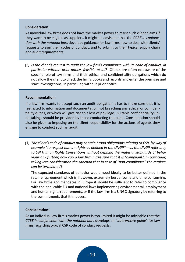#### **Consideration:**

As individual law firms does not have the market power to resist such client claims if they want to be eligible as suppliers, it might be advisable that the *CCBE in conjunction with the national bars* develops guidance for law firms how to deal with clients' requests to sign their codes of conduct, and to submit to their typical supply chain and audit requirements.

*(2) Is the client's request to audit the law firm's compliance with its code of conduct, in particular without prior notice, feasible at all*? Clients are often not aware of the specific role of law firms and their ethical and confidentiality obligations which do not allow the client to check the firm's books and records and enter the premises and start investigations, in particular, without prior notice.

#### **Recommendation:**

If a law firm wants to accept such an audit obligation it has to make sure that it is restricted to information and documentation not breaching any ethical or confidentiality duties, or which will give rise to a loss of privilege. Suitable confidentiality undertakings should be provided by those conducting the audit. Consideration should also be given to imposing on the client responsibility for the actions of agents they engage to conduct such an audit.

*(3) The client's code of conduct may contain broad obligations relating to CSR, by way of example "to respect human rights as defined in the UNGP" – as the UNGP refer only to UN Human Rights Conventions without defining the material standards of behaviour any further, how can a law firm make sure that it is "compliant", in particular, taking into consideration the sanction that in case of "non-compliance" the retainer can be terminated*?

The expected standards of behavior would need ideally to be better defined in the retainer agreement which is, however, extremely burdensome and time consuming. For law firms and mandates in Europe it should be sufficient to refer to compliance with the applicable EU and national laws implementing environmental, employment and human rights requirements, or if the law firm is a UNGC signatory by referring to the commitments that it imposes.

#### **Consideration:**

As an individual law firm's market power is too limited it might be advisable that the *CCBE in conjunction with the national bars* develops an "*interpretive guide*" for law firms regarding typical CSR code of conduct requests.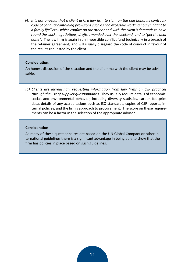*(4) It is not unusual that a client asks a law firm to sign, on the one hand, its contract/ code of conduct containing provisions such as "no excessive working hours", "right to a family life" etc., which conflict on the other hand with the client's demands to have round the clock negotiations, drafts amended over the weekend, and to "get the deal done"*. The law firm is again in an impossible conflict (and technically in a breach of the retainer agreement) and will usually disregard the code of conduct in favour of the results requested by the client.

#### **Consideration:**

An honest discussion of the situation and the dilemma with the client may be advisable.

*(5) Clients are increasingly requesting information from law firms on CSR practices through the use of supplier questionnaires*. They usually require details of economic, social, and environmental behavior, including diversity statistics, carbon footprint data, details of any accreditations such as ISO standards, copies of CSR reports, internal policies, and the firm's approach to procurement. The score on these requirements can be a factor in the selection of the appropriate advisor.

#### **Consideration**:

As many of these questionnaires are based on the UN Global Compact or other international guidelines there is a significant advantage in being able to show that the firm has policies in place based on such guidelines.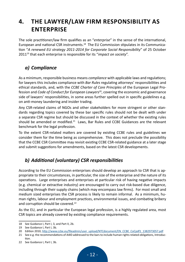# **4. THE LAWYER/LAW FIRM RESPONSIBILITY AS ENTERPRISE**

The sole practitioner/law firm qualifies as an "*enterprise*" in the sense of the international, European and national CSR instruments.18 The EU Commission stipulates in its Communication "*A renewed EU strategy 2011-2014 for Corporate Social Responsibility*" of 25 October 2011<sup>19</sup> that each enterprise is responsible for its "*impact on society*".

# *a) Compliance*

As a minimum, responsible business means *compliance* with applicable laws and regulations; for lawyers this includes compliance with *Bar Rules* regulating attorneys' responsibilities and ethical standards, and, with the *CCBE Charter of Core Principles* of the European Legal Profession and *Code of Conduct for European Lawyers*20, covering the economic and governance side of lawyers' responsibilities, in some areas further spelled out in specific guidelines e.g. on anti-money laundering and insider trading.

Any CSR-related claims of NGOs and other stakeholders for more stringent or other standards regarding topics covered by these bar specific rules should not be dealt with under a separate CSR regime but should be discussed in the context of whether the existing rules should be amended or modified.<sup>21</sup> Laws, Bar Rules and CCBE Guidances are the relevant benchmark for the legal profession.

To the extent CSR-related matters are covered by existing CCBE rules and guidelines we consider them for the time being as comprehensive. This does not preclude the possibility that the CCBE CSR Committee may revisit existing CCBE CSR-related guidance at a later stage and submit suggestions for amendments, based on the latest CSR developments.

# *b) Additional (voluntary) CSR responsibilities*

According to the EU Commission enterprises should develop an approach to CSR that is appropriate to their circumstances, in particular, the size of the enterprise and the nature of its operations. Large enterprises and enterprises at particular risk of having negative impacts (e.g. chemical or extractive industry) are encouraged to carry out risk-based due diligence, including through their supply chains (which may encompass law firms). For most small and medium sized enterprises the CSR process is likely to remain informal. As a minimum, human rights, labour and employment practices, environmental issues, and combating bribery and corruption should be covered.<sup>22</sup>

As the EU, and in particular the European legal profession, is a highly regulated area, most CSR topics are already covered by existing compliance requirements.

22 See Guidance I, Part I, 3b.

<sup>18</sup> See Guidance I, Part I, 3, and Part II, 2b.

<sup>19</sup> See Guidance I, Part I, 3b.

<sup>20</sup> Edition 2010, http://www.ccbe.eu/fileadmin/user\_upload/NTCdocument/EN\_CCBE\_CoCpdf1\_1382973057.pdf

<sup>21</sup> See e.g. the recommendations of A4ID addressed to the bars to include human rights related obligations, Introduction.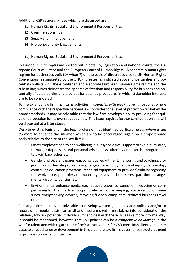Additional CSR responsibilities which are discussed are:

- (1) Human Rights, Social and Environmental Responsibilities
- (2) Client relationships
- (3) Supply chain management
- (4) Pro bono/Charity Engagements
- (1) Human Rights, Social and Environmental Responsibilities

In Europe, *human rights* are spelled out in detail by legislation and national courts, the European Court of Justice and the European Court of Human Rights. A separate human rights regime for businesses built (by whom?) on the basis of direct recourse to UN Human Rights Conventions (as suggested by the UNGP) creates, as indicated above, uncertainties and potential conflicts with the established and elaborate European human rights regime and the rule of law, which delineates the spheres of freedom and responsibility for business and potentially affected parties and provides for detailed procedures in which stakeholder interests are to be considered.

To the extent a law firm maintains activities in *countries with weak governance zones* where compliance with the respective national laws provides for a level of protection far below the home standards, it may be advisable that the law firm develops a policy providing for equivalent protection for its overseas activities. This issue requires further consideration and will be discussed at a later stage.

Despite existing legislation, the legal profession has identified particular *areas where it can do more* to enhance the situation which are to be encouraged (again on a proportionate basis relative to the size of the law firm):

- Foster employee health and wellbeing, e.g. psychological support to avoid burn-outs, to master depression and personal crises, physiotherapy and exercise programmes to avoid back aches etc.
- Gender and Diversity issues, e.g. conscious recruitment, mentoring and coaching, programmes for female professionals, targets for employment and equity partnership, continuing education programs, technical equipment to provide flexibility regarding the work place, paternity and maternity leaves for both sexes, part-time arrangements, disability policies, etc..
- Environmental enhancements, e.g. reduced paper consumption, reducing or compensating for their carbon footprint, electronic file keeping, waste reduction measures, energy saving devices, recycling friendly computers, reduced business travel etc.

For larger firms it may be advisable to develop written guidelines and policies and/or to report on a regular basis; for small and medium sized firms, taking into consideration the relatively low risk potential, it should suffice to deal with these issues in a more informal way. It should be mentioned, however, that CSR policies can be a *competitive advantage* in the war for talent and with regard to the firm's attractiveness for CSR-conscious clients. In either case, to effect change or development in this area, the law firm's governance structures need to provide support and incentives.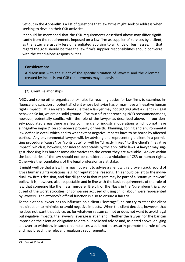Set out in the **Appendix** is a list of questions that law firms might seek to address when seeking to develop their CSR activities.

It should be mentioned that the CSR requirements described above may differ significantly from the requirements imposed on a law firm as supplier of services by a client, as the latter are usually less differentiated applying to all kinds of businesses. In that regard the goal should be that the law firm's supplier responsibilities should converge with the stand-alone-responsibilities.

#### **Consideration:**

A discussion with the client of the specific situation of lawyers and the dilemma created by inconsistent CSR requirements may be advisable.

#### (2) Client Relationships

NGOs and some other organisations<sup>23</sup> raise far reaching duties for law firms to examine, influence and sanction a (potential) client whose behavior has or may have a "negative human rights impact". It is an established rule that a lawyer may not *aid and abet* a client in illegal behavior. So far, we are on solid ground. The much further reaching NGO recommendations, however, potentially conflict with the role of the lawyer as described above. In our densely populated areas there are few commercial or industrial operations which do not have a "negative impact" on someone's property or health. Planning, zoning and environmental law define in detail which and to what extent negative impacts have to be borne by affected parties. Any environmental lawyer will, by advising and representing a client in a permitting procedure "cause", or "contribute" or will be "directly linked" to the client's "negative impact" which is, however, considered acceptable by the applicable laws. A lawyer may suggest choosing less burdensome alternatives to the extent they are available. Advice within the boundaries of the law should not be considered as a violation of CSR or human rights. Otherwise the foundations of the legal profession are at stake.

It might well be that a law firm may not want to advise a client with a proven track record of gross human rights violations, e.g. for reputational reasons. This should be left to the individual law firm's decision, and due diligence in that regard may be part of a "*know your client*" policy. It is, however, also respectable and in line with the basic requirements of the rule of law that someone like the mass murderer Breivik or the Nazis in the Nuremberg trials, accused of the worst atrocities, or companies accused of using child labour, were represented by lawyers. The attorney's official function is also to ensure a fair trial.

To the extent a lawyer has an influence on a client ("leverage") he can try to steer the client in a direction to minimize or avoid negative impacts. When the client decides, however, that he does not want that advice, or, for whatever reason cannot or does not want to avoid legal but negative impacts, the lawyer's leverage is at an end. Neither the lawyer nor the bar can impose on the client an obligation to obtain unsolicited advice and, as noted above, obliging a lawyer to withdraw in such circumstances would not necessarily promote the rule of law and may breach the relevant regulatory requirements.

<sup>23</sup> See A4ID Fn. 4.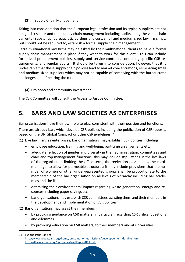(3) Supply Chain Management

Taking into consideration that the European legal profession and its typical suppliers are not a high risk sector and that supply chain management including audits along the value chain can entail substantial bureaucratic burdens and cost, small and medium sized law firms may, but should not be required to, establish a formal supply chain management.

Large multinational law firms may be asked by their multinational clients to have a formal supply chain management in place if they want to work for this client. This can include formalized procurement policies, supply and service contracts containing specific CSR requirements, and regular audits. It should be taken into consideration, however, that it is undesirable that these supply chain policies lead to market concentrations, eliminating small and medium-sized suppliers which may not be capable of complying with the bureaucratic challenges and of bearing the cost.

(4) Pro bono and community investment

The CSR Committee will consult the Access to Justice Committee.

# **5. BARS AND LAW SOCIETIES AS ENTERPRISES**

Bar organisations have their own role to play, consistent with their position and functions.

There are already bars which develop CSR policies including the publication of CSR reports, based on the UN Global Compact or other CSR guidelines.<sup>24</sup>

(1) Like law firms as enterprises, bar organisations may establish CSR policies including

- employee education, training and well-being, part-time arrangements etc.
- adequate reflection of gender and diversity in their administration, committees and chair and top management functions; this may include stipulations in the bye-laws of the organisation limiting the office term, the reelection possibilities, the maximum age, to allow for permeable structures; it may include provisions that the number of women or other under-represented groups shall be proportionate to the membership of the bar organisation on all levels of hierarchy including bar academies and the like;
- optimising their environmental impact regarding waste generation, energy and resources including paper savings etc..
- bar organisations may establish CSR committees assisting them and their members in the development and implementation of CSR policies.
- (2) Bar organisations may assist their members
	- by providing guidance on CSR matters, in particular, regarding CSR critical questions and dilemmas
	- by providing education on CSR matters, to their members and at universities;

<sup>24</sup> E.g. the Paris Bar, see http://www.avocatparis.org/home/presentation-et-missions/developpement-durable.html http://dl.avocatparis.org/com/anais/rse/RapportRSE.pdf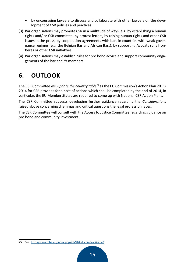- by encouraging lawyers to discuss and collaborate with other lawyers on the development of CSR policies and practices.
- (3) Bar organisations may promote CSR in a multitude of ways, e.g. by establishing a human rights and/ or CSR committee, by protest letters, by raising human rights and other CSR issues in the press, by cooperation agreements with bars in countries with weak governance regimes (e.g. the Belgian Bar and African Bars), by supporting Avocats sans frontieres or other CSR initiatives.
- (4) Bar organisations may establish rules for pro bono advice and support community engagements of the bar and its members.

# **6. OUTLOOK**

The CSR Committee will *update the country table<sup>25</sup>* as the EU Commission's Action Plan 2011- 2014 for CSR provides for a host of actions which shall be completed by the end of 2014, in particular, the EU Member States are required to come up with National CSR Action Plans.

The CSR Committee suggests developing further guidance regarding the *Considerations* raised above concerning dilemmas and critical questions the legal profession faces.

The CSR Committee will consult with the Access to Justice Committee regarding guidance on pro bono and community investment.

<sup>25</sup> See: http://www.ccbe.eu/index.php?id=94&id\_comite=54&L=0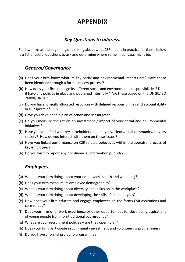# **APPENDIX**

### *Key Questions to address.*

For law firms at the beginning of thinking about what CSR means in practice for them, below is a list of useful questions to ask and determine where some initial gaps might be.

### *General/Governance*

- (a) Does your firm know what its key social and environmental impacts are? Have these been identified through a formal review process?
- (b) How does your firm manage its different social and environmental responsibilities? Does it have any policies in place and published internally? Are these based on the UNGC/ISO 26000/UNGP?
- (c) Do you have formally allocated resources with defined responsibilities and accountability in all aspects of CSR?
- (d) Have you developed a plan of action and set targets?
- (e) Do you measure the return on investment / impact of your social and environmental initiatives?
- (f) Have you identified your key stakeholders employees, clients, local community, bar/law society? How do you interact with them on these issues?
- (g) Have you linked performance on CSR related objectives within the appraisal process of key employees?
- (h) Do you wish to report any non-financial information publicly?

### *Employees*

- (a) What is your firm doing about your employees' health and wellbeing?
- (b) Does your firm measure its employee demographics?
- (c) What is your firm doing about diversity and inclusion in the workplace?
- (d) What is your firm doing about developing the skills of its employees?
- (e) How does your firm educate and engage employees on the forms CSR aspirations and core values?
- (f) Does your firm offer work experience or other opportunities for developing aspirations of young people from non-traditional backgrounds?
- (g) What are your recruitment policies are they open to all?
- (h) Does your firm participate in community investment and volunteering programmes?
- (i) Do you have a formal pro bono programme?

 $-17-$